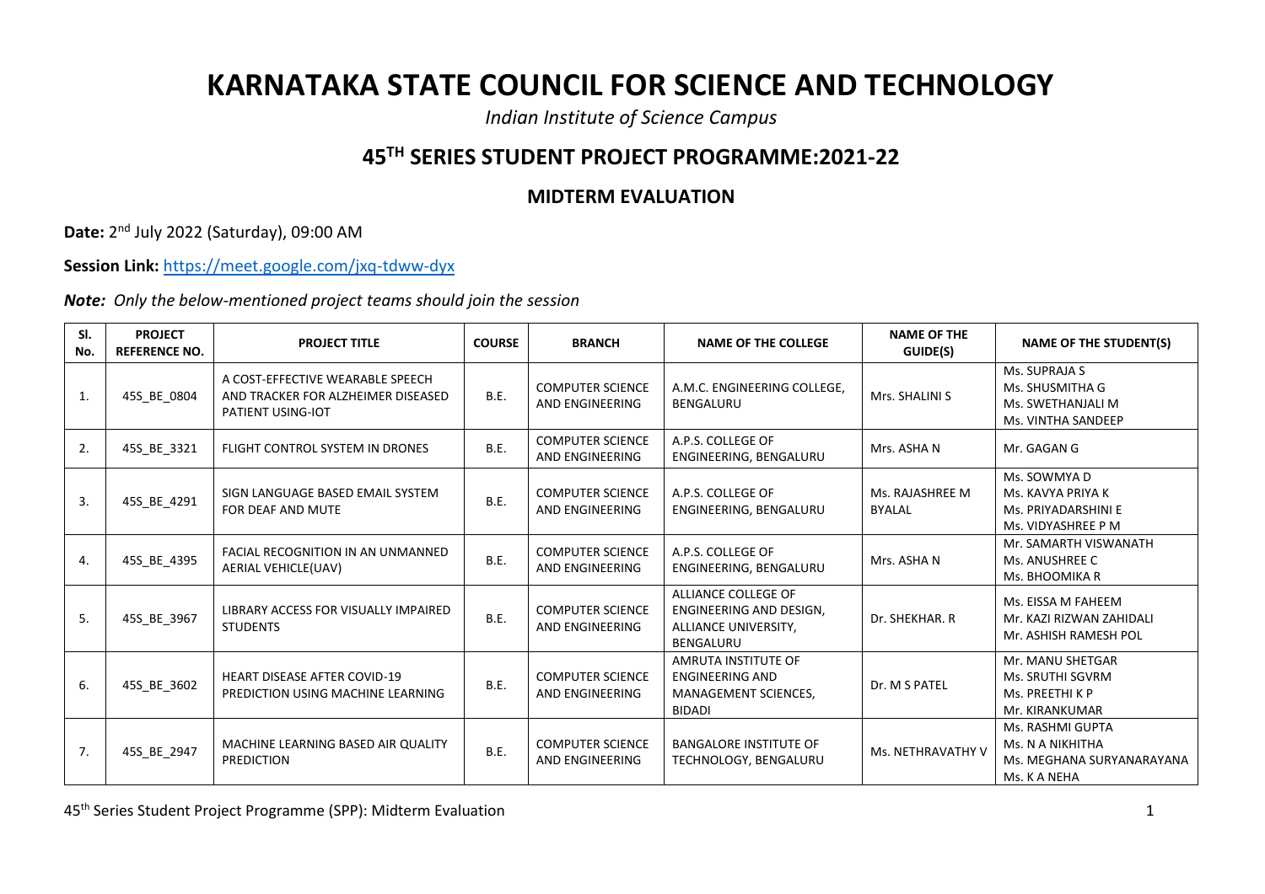## **KARNATAKA STATE COUNCIL FOR SCIENCE AND TECHNOLOGY**

*Indian Institute of Science Campus*

## **45TH SERIES STUDENT PROJECT PROGRAMME:2021-22**

## **MIDTERM EVALUATION**

**Date:** 2 nd July 2022 (Saturday), 09:00 AM

**Session Link:** <https://meet.google.com/jxq-tdww-dyx>

*Note: Only the below-mentioned project teams should join the session*

| SI.<br>No. | <b>PROJECT</b><br><b>REFERENCE NO.</b> | <b>PROJECT TITLE</b>                                                                        | <b>COURSE</b> | <b>BRANCH</b>                              | <b>NAME OF THE COLLEGE</b>                                                             | <b>NAME OF THE</b><br>GUIDE(S)   | <b>NAME OF THE STUDENT(S)</b>                                                     |
|------------|----------------------------------------|---------------------------------------------------------------------------------------------|---------------|--------------------------------------------|----------------------------------------------------------------------------------------|----------------------------------|-----------------------------------------------------------------------------------|
| 1.         | 45S_BE_0804                            | A COST-EFFECTIVE WEARABLE SPEECH<br>AND TRACKER FOR ALZHEIMER DISEASED<br>PATIENT USING-IOT | B.E.          | <b>COMPUTER SCIENCE</b><br>AND ENGINEERING | A.M.C. ENGINEERING COLLEGE,<br><b>BENGALURU</b>                                        | Mrs. SHALINI S                   | Ms. SUPRAJA S<br>Ms. SHUSMITHA G<br>Ms. SWETHANJALI M<br>Ms. VINTHA SANDEEP       |
| 2.         | 45S_BE_3321                            | FLIGHT CONTROL SYSTEM IN DRONES                                                             | B.E.          | <b>COMPUTER SCIENCE</b><br>AND ENGINEERING | A.P.S. COLLEGE OF<br>ENGINEERING, BENGALURU                                            | Mrs. ASHA N                      | Mr. GAGAN G                                                                       |
| 3.         | 45S_BE_4291                            | SIGN LANGUAGE BASED EMAIL SYSTEM<br>FOR DEAF AND MUTE                                       | B.E.          | <b>COMPUTER SCIENCE</b><br>AND ENGINEERING | A.P.S. COLLEGE OF<br>ENGINEERING, BENGALURU                                            | Ms. RAJASHREE M<br><b>BYALAL</b> | Ms. SOWMYA D<br>Ms. KAVYA PRIYA K<br>Ms. PRIYADARSHINI E<br>Ms. VIDYASHREE P M    |
| 4.         | 45S_BE_4395                            | <b>FACIAL RECOGNITION IN AN UNMANNED</b><br>AERIAL VEHICLE(UAV)                             | <b>B.E.</b>   | <b>COMPUTER SCIENCE</b><br>AND ENGINEERING | A.P.S. COLLEGE OF<br>ENGINEERING, BENGALURU                                            | Mrs. ASHA N                      | Mr. SAMARTH VISWANATH<br>Ms. ANUSHREE C<br>Ms. BHOOMIKA R                         |
| 5.         | 45S_BE_3967                            | LIBRARY ACCESS FOR VISUALLY IMPAIRED<br><b>STUDENTS</b>                                     | B.E.          | <b>COMPUTER SCIENCE</b><br>AND ENGINEERING | ALLIANCE COLLEGE OF<br>ENGINEERING AND DESIGN,<br>ALLIANCE UNIVERSITY,<br>BENGALURU    | Dr. SHEKHAR. R                   | Ms. EISSA M FAHEEM<br>Mr. KAZI RIZWAN ZAHIDALI<br>Mr. ASHISH RAMESH POL           |
| 6.         | 45S_BE_3602                            | HEART DISEASE AFTER COVID-19<br>PREDICTION USING MACHINE LEARNING                           | B.E.          | <b>COMPUTER SCIENCE</b><br>AND ENGINEERING | AMRUTA INSTITUTE OF<br><b>ENGINEERING AND</b><br>MANAGEMENT SCIENCES,<br><b>BIDADI</b> | Dr. M S PATEL                    | Mr. MANU SHETGAR<br>Ms. SRUTHI SGVRM<br>Ms. PREETHI K P<br>Mr. KIRANKUMAR         |
| 7.         | 45S BE 2947                            | MACHINE LEARNING BASED AIR QUALITY<br><b>PREDICTION</b>                                     | B.E.          | <b>COMPUTER SCIENCE</b><br>AND ENGINEERING | <b>BANGALORE INSTITUTE OF</b><br>TECHNOLOGY, BENGALURU                                 | Ms. NETHRAVATHY V                | Ms. RASHMI GUPTA<br>Ms. N A NIKHITHA<br>Ms. MEGHANA SURYANARAYANA<br>Ms. K A NEHA |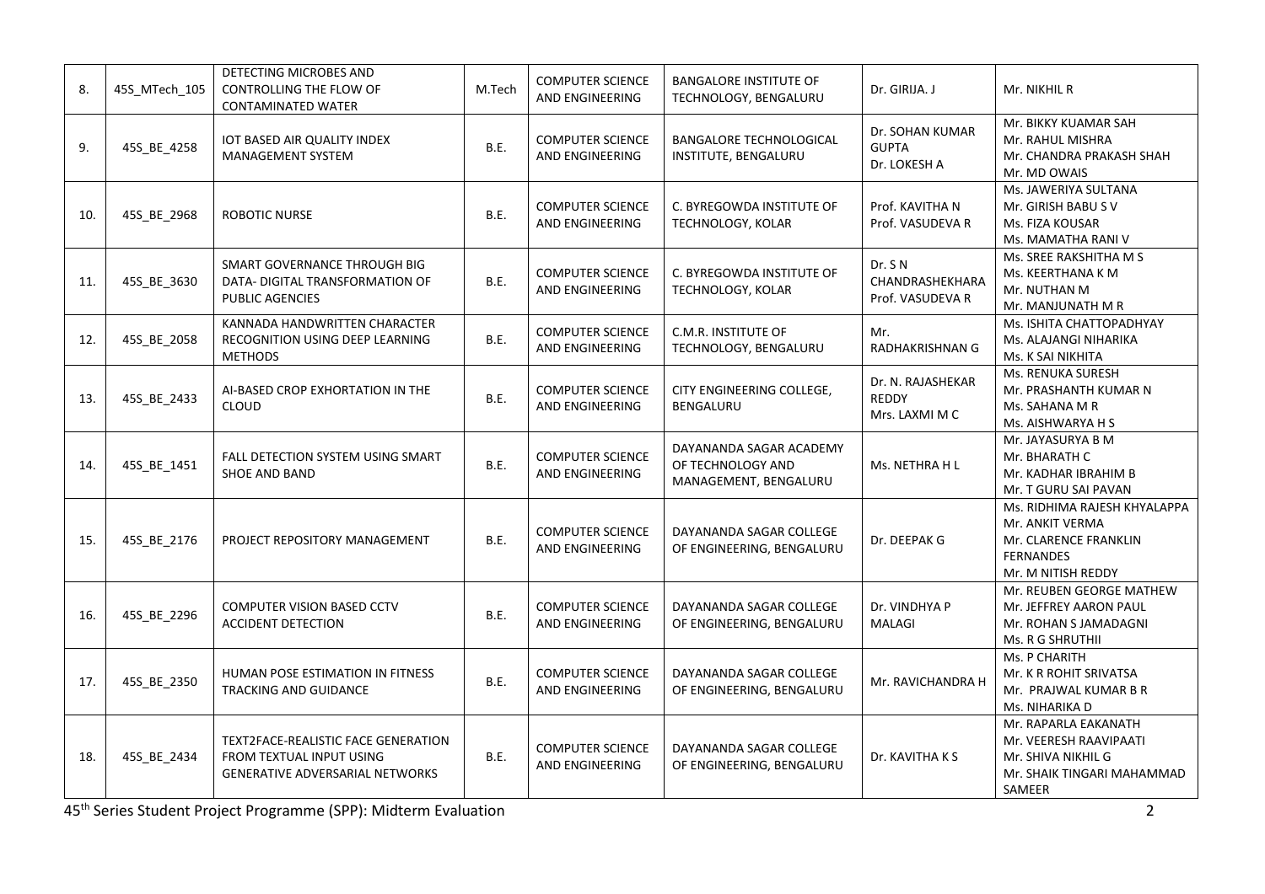| 8.  | 45S_MTech_105 | DETECTING MICROBES AND<br>CONTROLLING THE FLOW OF<br>CONTAMINATED WATER                                   | M.Tech      | <b>COMPUTER SCIENCE</b><br>AND ENGINEERING | <b>BANGALORE INSTITUTE OF</b><br>TECHNOLOGY, BENGALURU                | Dr. GIRIJA. J                                   | Mr. NIKHIL R                                                                                                       |
|-----|---------------|-----------------------------------------------------------------------------------------------------------|-------------|--------------------------------------------|-----------------------------------------------------------------------|-------------------------------------------------|--------------------------------------------------------------------------------------------------------------------|
| 9.  | 45S_BE_4258   | IOT BASED AIR QUALITY INDEX<br>MANAGEMENT SYSTEM                                                          | B.E.        | <b>COMPUTER SCIENCE</b><br>AND ENGINEERING | <b>BANGALORE TECHNOLOGICAL</b><br>INSTITUTE, BENGALURU                | Dr. SOHAN KUMAR<br><b>GUPTA</b><br>Dr. LOKESH A | Mr. BIKKY KUAMAR SAH<br>Mr. RAHUL MISHRA<br>Mr. CHANDRA PRAKASH SHAH<br>Mr. MD OWAIS                               |
| 10. | 45S_BE_2968   | <b>ROBOTIC NURSE</b>                                                                                      | B.E.        | <b>COMPUTER SCIENCE</b><br>AND ENGINEERING | C. BYREGOWDA INSTITUTE OF<br>TECHNOLOGY, KOLAR                        | Prof. KAVITHA N<br>Prof. VASUDEVA R             | Ms. JAWERIYA SULTANA<br>Mr. GIRISH BABU S V<br>Ms. FIZA KOUSAR<br>Ms. MAMATHA RANI V                               |
| 11. | 45S_BE_3630   | SMART GOVERNANCE THROUGH BIG<br>DATA- DIGITAL TRANSFORMATION OF<br>PUBLIC AGENCIES                        | B.E.        | COMPUTER SCIENCE<br>AND ENGINEERING        | C. BYREGOWDA INSTITUTE OF<br>TECHNOLOGY, KOLAR                        | Dr. S N<br>CHANDRASHEKHARA<br>Prof. VASUDEVA R  | Ms. SREE RAKSHITHA M S<br>Ms. KEERTHANA K M<br>Mr. NUTHAN M<br>Mr. MANJUNATH M R                                   |
| 12. | 45S_BE_2058   | KANNADA HANDWRITTEN CHARACTER<br>RECOGNITION USING DEEP LEARNING<br><b>METHODS</b>                        | B.E.        | <b>COMPUTER SCIENCE</b><br>AND ENGINEERING | C.M.R. INSTITUTE OF<br>TECHNOLOGY, BENGALURU                          | Mr.<br>RADHAKRISHNAN G                          | Ms. ISHITA CHATTOPADHYAY<br>Ms. ALAJANGI NIHARIKA<br>Ms. K SAI NIKHITA                                             |
| 13. | 45S_BE_2433   | AI-BASED CROP EXHORTATION IN THE<br><b>CLOUD</b>                                                          | B.E.        | <b>COMPUTER SCIENCE</b><br>AND ENGINEERING | CITY ENGINEERING COLLEGE,<br>BENGALURU                                | Dr. N. RAJASHEKAR<br>REDDY<br>Mrs. LAXMI M C    | Ms. RENUKA SURESH<br>Mr. PRASHANTH KUMAR N<br>Ms. SAHANA M R<br>Ms. AISHWARYA H S                                  |
| 14. | 45S_BE_1451   | FALL DETECTION SYSTEM USING SMART<br><b>SHOE AND BAND</b>                                                 | B.E.        | <b>COMPUTER SCIENCE</b><br>AND ENGINEERING | DAYANANDA SAGAR ACADEMY<br>OF TECHNOLOGY AND<br>MANAGEMENT, BENGALURU | Ms. NETHRA H L                                  | Mr. JAYASURYA B M<br>Mr. BHARATH C<br>Mr. KADHAR IBRAHIM B<br>Mr. T GURU SAI PAVAN                                 |
| 15. | 45S_BE_2176   | PROJECT REPOSITORY MANAGEMENT                                                                             | B.E.        | <b>COMPUTER SCIENCE</b><br>AND ENGINEERING | DAYANANDA SAGAR COLLEGE<br>OF ENGINEERING, BENGALURU                  | Dr. DEEPAK G                                    | Ms. RIDHIMA RAJESH KHYALAPPA<br>Mr. ANKIT VERMA<br>Mr. CLARENCE FRANKLIN<br><b>FERNANDES</b><br>Mr. M NITISH REDDY |
| 16. | 45S_BE_2296   | COMPUTER VISION BASED CCTV<br><b>ACCIDENT DETECTION</b>                                                   | B.E.        | <b>COMPUTER SCIENCE</b><br>AND ENGINEERING | DAYANANDA SAGAR COLLEGE<br>OF ENGINEERING, BENGALURU                  | Dr. VINDHYA P<br><b>MALAGI</b>                  | Mr. REUBEN GEORGE MATHEW<br>Mr. JEFFREY AARON PAUL<br>Mr. ROHAN S JAMADAGNI<br>Ms. R G SHRUTHII                    |
| 17. | 45S_BE_2350   | HUMAN POSE ESTIMATION IN FITNESS<br><b>TRACKING AND GUIDANCE</b>                                          | B.E.        | <b>COMPUTER SCIENCE</b><br>AND ENGINEERING | DAYANANDA SAGAR COLLEGE<br>OF ENGINEERING, BENGALURU                  | Mr. RAVICHANDRA H                               | Ms. P CHARITH<br>Mr. K R ROHIT SRIVATSA<br>Mr. PRAJWAL KUMAR B R<br>Ms. NIHARIKA D                                 |
| 18. | 45S_BE_2434   | TEXT2FACE-REALISTIC FACE GENERATION<br>FROM TEXTUAL INPUT USING<br><b>GENERATIVE ADVERSARIAL NETWORKS</b> | <b>B.E.</b> | <b>COMPUTER SCIENCE</b><br>AND ENGINEERING | DAYANANDA SAGAR COLLEGE<br>OF ENGINEERING, BENGALURU                  | Dr. KAVITHA K S                                 | Mr. RAPARLA EAKANATH<br>Mr. VEERESH RAAVIPAATI<br>Mr. SHIVA NIKHIL G<br>Mr. SHAIK TINGARI MAHAMMAD<br>SAMEER       |

45th Series Student Project Programme (SPP): Midterm Evaluation 2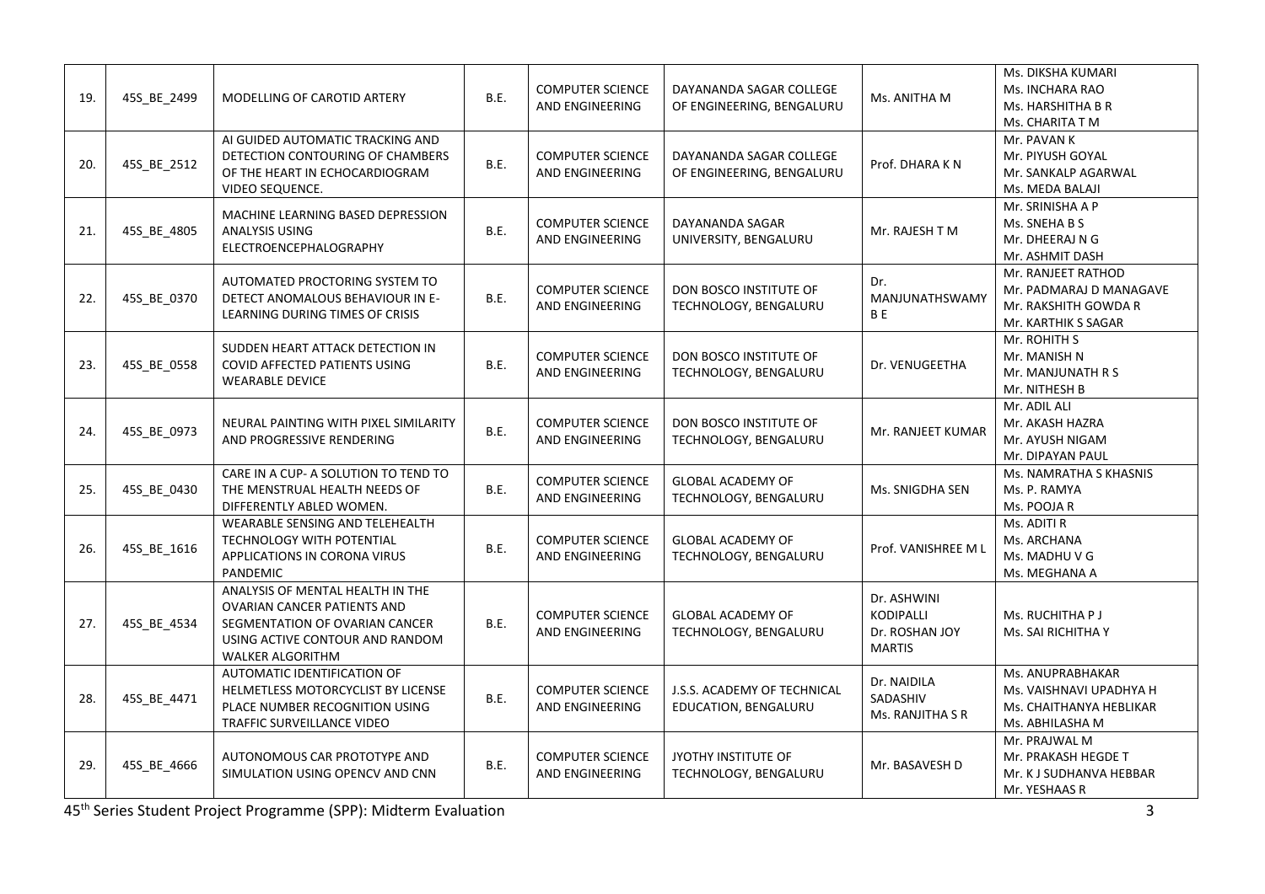| 19. | 45S BE 2499 | MODELLING OF CAROTID ARTERY                                                                                                                                     | B.E. | <b>COMPUTER SCIENCE</b><br>AND ENGINEERING        | DAYANANDA SAGAR COLLEGE<br>OF ENGINEERING, BENGALURU | Ms. ANITHA M                                                       | Ms. DIKSHA KUMARI<br>Ms. INCHARA RAO<br>Ms. HARSHITHA B R<br>Ms. CHARITA T M                 |
|-----|-------------|-----------------------------------------------------------------------------------------------------------------------------------------------------------------|------|---------------------------------------------------|------------------------------------------------------|--------------------------------------------------------------------|----------------------------------------------------------------------------------------------|
| 20. | 45S_BE_2512 | AI GUIDED AUTOMATIC TRACKING AND<br>DETECTION CONTOURING OF CHAMBERS<br>OF THE HEART IN ECHOCARDIOGRAM<br>VIDEO SEQUENCE.                                       | B.E. | <b>COMPUTER SCIENCE</b><br>AND ENGINEERING        | DAYANANDA SAGAR COLLEGE<br>OF ENGINEERING, BENGALURU | Prof. DHARA KN                                                     | Mr. PAVAN K<br>Mr. PIYUSH GOYAL<br>Mr. SANKALP AGARWAL<br>Ms. MEDA BALAJI                    |
| 21. | 45S_BE_4805 | MACHINE LEARNING BASED DEPRESSION<br>ANALYSIS USING<br>ELECTROENCEPHALOGRAPHY                                                                                   | B.E. | <b>COMPUTER SCIENCE</b><br>AND ENGINEERING        | DAYANANDA SAGAR<br>UNIVERSITY, BENGALURU             | Mr. RAJESH T M                                                     | Mr. SRINISHA A P<br>Ms. SNEHA B S<br>Mr. DHEERAJ N G<br>Mr. ASHMIT DASH                      |
| 22. | 45S BE 0370 | AUTOMATED PROCTORING SYSTEM TO<br>DETECT ANOMALOUS BEHAVIOUR IN E-<br>LEARNING DURING TIMES OF CRISIS                                                           | B.E. | <b>COMPUTER SCIENCE</b><br>AND ENGINEERING        | DON BOSCO INSTITUTE OF<br>TECHNOLOGY, BENGALURU      | Dr.<br>MANJUNATHSWAMY<br>B <sub>E</sub>                            | Mr. RANJEET RATHOD<br>Mr. PADMARAJ D MANAGAVE<br>Mr. RAKSHITH GOWDA R<br>Mr. KARTHIK S SAGAR |
| 23. | 45S_BE_0558 | SUDDEN HEART ATTACK DETECTION IN<br>COVID AFFECTED PATIENTS USING<br>WEARABLE DEVICE                                                                            | B.E. | <b>COMPUTER SCIENCE</b><br>AND ENGINEERING        | DON BOSCO INSTITUTE OF<br>TECHNOLOGY, BENGALURU      | Dr. VENUGEETHA                                                     | Mr. ROHITH S<br>Mr. MANISH N<br>Mr. MANJUNATH R S<br>Mr. NITHESH B                           |
| 24. | 45S_BE_0973 | NEURAL PAINTING WITH PIXEL SIMILARITY<br>AND PROGRESSIVE RENDERING                                                                                              | B.E. | <b>COMPUTER SCIENCE</b><br>AND ENGINEERING        | DON BOSCO INSTITUTE OF<br>TECHNOLOGY, BENGALURU      | Mr. RANJEET KUMAR                                                  | Mr. ADIL ALI<br>Mr. AKASH HAZRA<br>Mr. AYUSH NIGAM<br>Mr. DIPAYAN PAUL                       |
| 25. | 45S_BE_0430 | CARE IN A CUP- A SOLUTION TO TEND TO<br>THE MENSTRUAL HEALTH NEEDS OF<br>DIFFERENTLY ABLED WOMEN.                                                               | B.E. | <b>COMPUTER SCIENCE</b><br>AND ENGINEERING        | <b>GLOBAL ACADEMY OF</b><br>TECHNOLOGY, BENGALURU    | Ms. SNIGDHA SEN                                                    | Ms. NAMRATHA S KHASNIS<br>Ms. P. RAMYA<br>Ms. POOJA R                                        |
| 26. | 45S_BE_1616 | WEARABLE SENSING AND TELEHEALTH<br><b>TECHNOLOGY WITH POTENTIAL</b><br>APPLICATIONS IN CORONA VIRUS<br>PANDEMIC                                                 | B.E. | <b>COMPUTER SCIENCE</b><br>AND ENGINEERING        | <b>GLOBAL ACADEMY OF</b><br>TECHNOLOGY, BENGALURU    | Prof. VANISHREE M L                                                | Ms. ADITI R<br>Ms. ARCHANA<br>Ms. MADHU V G<br>Ms. MEGHANA A                                 |
| 27. | 45S_BE_4534 | ANALYSIS OF MENTAL HEALTH IN THE<br><b>OVARIAN CANCER PATIENTS AND</b><br>SEGMENTATION OF OVARIAN CANCER<br>USING ACTIVE CONTOUR AND RANDOM<br>WALKER ALGORITHM | B.E. | <b>COMPUTER SCIENCE</b><br><b>AND ENGINEERING</b> | <b>GLOBAL ACADEMY OF</b><br>TECHNOLOGY, BENGALURU    | Dr. ASHWINI<br><b>KODIPALLI</b><br>Dr. ROSHAN JOY<br><b>MARTIS</b> | Ms. RUCHITHA P J<br>Ms. SAI RICHITHA Y                                                       |
| 28. | 45S_BE_4471 | AUTOMATIC IDENTIFICATION OF<br>HELMETLESS MOTORCYCLIST BY LICENSE<br>PLACE NUMBER RECOGNITION USING<br>TRAFFIC SURVEILLANCE VIDEO                               | B.E. | <b>COMPUTER SCIENCE</b><br>AND ENGINEERING        | J.S.S. ACADEMY OF TECHNICAL<br>EDUCATION, BENGALURU  | Dr. NAIDILA<br>SADASHIV<br>Ms. RANJITHA S R                        | Ms. ANUPRABHAKAR<br>Ms. VAISHNAVI UPADHYA H<br>Ms. CHAITHANYA HEBLIKAR<br>Ms. ABHILASHA M    |
| 29. | 45S BE 4666 | AUTONOMOUS CAR PROTOTYPE AND<br>SIMULATION USING OPENCV AND CNN                                                                                                 | B.E. | <b>COMPUTER SCIENCE</b><br>AND ENGINEERING        | JYOTHY INSTITUTE OF<br>TECHNOLOGY, BENGALURU         | Mr. BASAVESH D                                                     | Mr. PRAJWAL M<br>Mr. PRAKASH HEGDE T<br>Mr. K J SUDHANVA HEBBAR<br>Mr. YESHAAS R             |

45th Series Student Project Programme (SPP): Midterm Evaluation 3